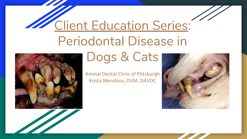# Client Education Series: Periodontal Disease in



# Dogs & Cats

Animal Dental Clinic of Pittsburgh Krista Mendoza, DVM, DAVDC

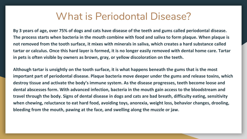## What is Periodontal Disease?

**By 3 years of age, over 75% of dogs and cats have disease of the teeth and gums called periodontal disease. The process starts when bacteria in the mouth combine with food and saliva to form plaque. When plaque is not removed from the tooth surface, it mixes with minerals in saliva, which creates a hard substance called tartar or calculus. Once this hard layer is formed, it is no longer easily removed with dental home care. Tartar in pets is often visible by owners as brown, gray, or yellow discoloration on the teeth.** 

**Although tartar is unsightly on the tooth surface, it is what happens beneath the gums that is the most important part of periodontal disease. Plaque bacteria move deeper under the gums and release toxins, which destroy tissue and activate the body's immune system. As the disease progresses, teeth become loose and dental abscesses form. With advanced infection, bacteria in the mouth gain access to the bloodstream and travel through the body. Signs of dental disease in dogs and cats are bad breath, difficulty eating, sensitivity when chewing, reluctance to eat hard food, avoiding toys, anorexia, weight loss, behavior changes, drooling, bleeding from the mouth, pawing at the face, and swelling along the muzzle or jaw.**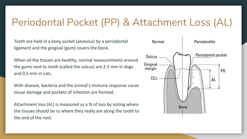# Periodontal Pocket (PP) & Attachment Loss (AL)

Teeth are held in a bony socket (alveolus) by a periodontal ligament and the gingival (gum) covers the bone.

When all the tissues are healthy, normal measurements around the gums next to teeth (called the sulcus) are 2-3 mm in dogs and 0.5 mm in cats.

With disease, bacteria and the animal's immune response cause tissue damage and pockets of infection are formed.

Attachment loss (AL) is measured as a % of loss by noting where the tissues should be vs where they really are along the tooth to the end of the root.

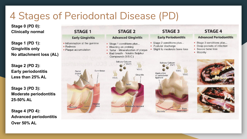# 4 Stages of Periodontal Disease (PD)

**Stage 0 (PD 0): Clinically normal** 

**Stage 1 (PD 1): Gingivitis only No attachment loss (AL)** 

**Stage 2 (PD 2): Early periodontitis Less than 25% AL** 

**Stage 3 (PD 3): Moderate periodontitis 25-50% AL** 

**Stage 4 (PD 4): Advanced periodontitis Over 50% AL**

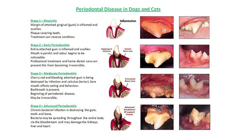#### **Periodontal Disease in Dogs and Cats**

#### Stage 1 - Gingivitis

Margin of attached gingival (gum) is inflamed and swollen. Plaque covering teeth. Treatment can reverse condition.

#### **Stage 2 - Early Periodontitis**

Entire attached gum is inflamed and swollen. Mouth is painful and odour begins to be noticeable.

Professional treatment and home dental care can prevent this from becoming irreversible.

#### Stage 3 - Moderate Periodontitis

Cherry red and bleeding attached gum is being destroyed by infection and calculus (tartar). Sore mouth affects eating and behaviour. Bad breath is present. Beginning of periodontal disease. May be irreversible.

#### **Stage 4 - Advanced Periodontitis**

Chronis bacterial infection is destroying the gum, tooth and bone.

Bacteria may be spreading throughout the entire body via the bloodstream and may damage the kidneys, liver and heart.























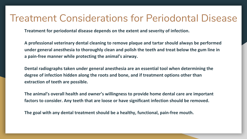### Treatment Considerations for Periodontal Disease

**Treatment for periodontal disease depends on the extent and severity of infection.** 

**A professional veterinary dental cleaning to remove plaque and tartar should always be performed under general anesthesia to thoroughly clean and polish the teeth and treat below the gum line in a pain-free manner while protecting the animal's airway.** 

**Dental radiographs taken under general anesthesia are an essential tool when determining the degree of infection hidden along the roots and bone, and if treatment options other than extraction of teeth are possible.** 

**The animal's overall health and owner's willingness to provide home dental care are important factors to consider. Any teeth that are loose or have significant infection should be removed.** 

**The goal with any dental treatment should be a healthy, functional, pain-free mouth.**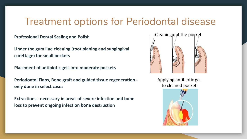## Treatment options for Periodontal disease

**Professional Dental Scaling and Polish**

**Under the gum line cleaning (root planing and subgingival curettage) for small pockets**

**Placement of antibiotic gels into moderate pockets**

**Periodontal Flaps, Bone graft and guided tissue regeneration only done in select cases**

**Extractions - necessary in areas of severe infection and bone loss to prevent ongoing infection bone destruction** 



Applying antibiotic gel to cleaned pocket

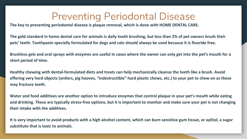# Preventing Periodontal Disease

**The key to preventing periodontal disease is plaque removal, which is done with HOME DENTAL CARE.** 

**The gold standard in home dental care for animals is daily tooth brushing, but less than 2% of pet owners brush their pets' teeth. Toothpaste specially formulated for dogs and cats should always be used because it is fluoride free.** 

**Brushless gels and oral sprays with enzymes are useful in cases where the owner can only get into the pet's mouth for a short period of time.** 

**Healthy chewing with dental-formulated diets and treats can help mechanically cleanse the teeth like a brush. Avoid offering very hard objects (antlers, pig hooves, "indestructible" hard plastic chews, etc.) to your pet to chew on as these may fracture teeth.** 

**Water and food additives are another option to introduce enzymes that control plaque in your pet's mouth while eating and drinking. These are typically stress-free options, but it is important to monitor and make sure your pet is not changing their intake with the additives.** 

**It is very important to avoid products with a high alcohol content, which can burn sensitive gum tissue, or xylitol, a sugar substitute that is toxic to animals.**